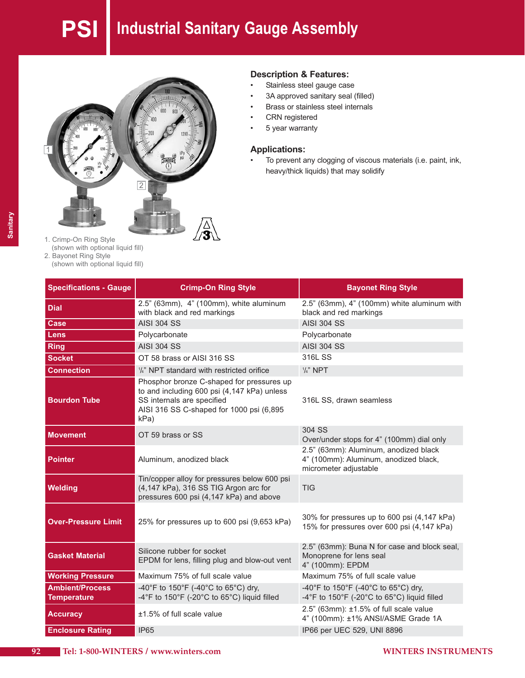# **PSI Industrial Sanitary Gauge Assembly**



#### **Description & Features:**

- Stainless steel gauge case
- 3A approved sanitary seal (filled)
- Brass or stainless steel internals
- CRN registered
- 5 year warranty

#### **Applications:**

• To prevent any clogging of viscous materials (i.e. paint, ink, heavy/thick liquids) that may solidify

- 1. Crimp-On Ring Style (shown with optional liquid fill) 2. Bayonet Ring Style
	- (shown with optional liquid fill)

| <b>Specifications - Gauge</b>                | <b>Crimp-On Ring Style</b>                                                                                                                                                                             | <b>Bayonet Ring Style</b>                                                                               |
|----------------------------------------------|--------------------------------------------------------------------------------------------------------------------------------------------------------------------------------------------------------|---------------------------------------------------------------------------------------------------------|
| <b>Dial</b>                                  | 2.5" (63mm), 4" (100mm), white aluminum<br>with black and red markings                                                                                                                                 | 2.5" (63mm), 4" (100mm) white aluminum with<br>black and red markings                                   |
| Case                                         | <b>AISI 304 SS</b>                                                                                                                                                                                     | <b>AISI 304 SS</b>                                                                                      |
| Lens                                         | Polycarbonate                                                                                                                                                                                          | Polycarbonate                                                                                           |
| <b>Ring</b>                                  | <b>AISI 304 SS</b>                                                                                                                                                                                     | <b>AISI 304 SS</b>                                                                                      |
| <b>Socket</b>                                | OT 58 brass or AISI 316 SS                                                                                                                                                                             | 316L SS                                                                                                 |
| <b>Connection</b>                            | 1/4" NPT standard with restricted orifice                                                                                                                                                              | $1/4$ " NPT                                                                                             |
| <b>Bourdon Tube</b>                          | Phosphor bronze C-shaped for pressures up<br>to and including 600 psi (4,147 kPa) unless<br>SS internals are specified<br>316L SS, drawn seamless<br>AISI 316 SS C-shaped for 1000 psi (6,895)<br>kPa) |                                                                                                         |
| <b>Movement</b>                              | OT 59 brass or SS                                                                                                                                                                                      | 304 SS<br>Over/under stops for 4" (100mm) dial only                                                     |
| <b>Pointer</b>                               | Aluminum, anodized black                                                                                                                                                                               | 2.5" (63mm): Aluminum, anodized black<br>4" (100mm): Aluminum, anodized black,<br>micrometer adjustable |
| <b>Welding</b>                               | Tin/copper alloy for pressures below 600 psi<br>(4,147 kPa), 316 SS TIG Argon arc for<br>pressures 600 psi (4,147 kPa) and above                                                                       | <b>TIG</b>                                                                                              |
| <b>Over-Pressure Limit</b>                   | 25% for pressures up to 600 psi (9,653 kPa)                                                                                                                                                            | 30% for pressures up to 600 psi (4,147 kPa)<br>15% for pressures over 600 psi (4,147 kPa)               |
| <b>Gasket Material</b>                       | Silicone rubber for socket<br>EPDM for lens, filling plug and blow-out vent                                                                                                                            | 2.5" (63mm): Buna N for case and block seal,<br>Monoprene for lens seal<br>4" (100mm): EPDM             |
| <b>Working Pressure</b>                      | Maximum 75% of full scale value                                                                                                                                                                        | Maximum 75% of full scale value                                                                         |
| <b>Ambient/Process</b><br><b>Temperature</b> | -40°F to 150°F (-40°C to 65°C) dry,<br>-4°F to 150°F (-20°C to 65°C) liquid filled                                                                                                                     | -40°F to 150°F (-40°C to 65°C) dry,<br>-4°F to 150°F (-20°C to 65°C) liquid filled                      |
| <b>Accuracy</b>                              | $±1.5\%$ of full scale value                                                                                                                                                                           | $2.5$ " (63mm): $\pm 1.5$ % of full scale value<br>4" (100mm): ±1% ANSI/ASME Grade 1A                   |
| <b>Enclosure Rating</b>                      | <b>IP65</b>                                                                                                                                                                                            | IP66 per UEC 529, UNI 8896                                                                              |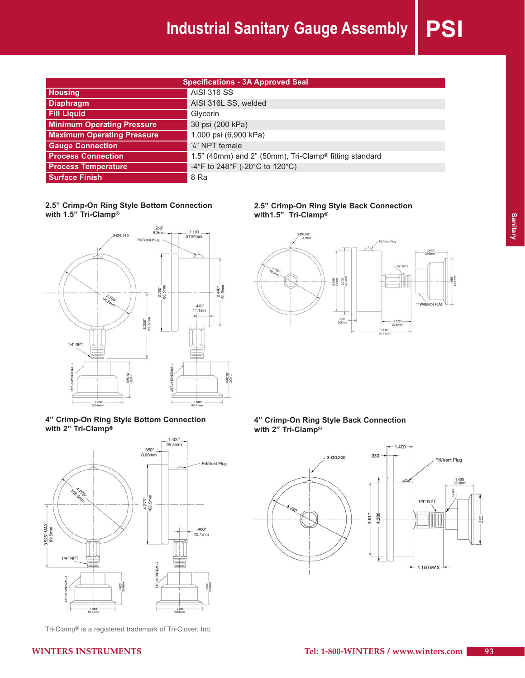## **Industrial Sanitary Gauge Assembly PSI**

| <b>Specifications - 3A Approved Seal</b> |                                                                    |  |
|------------------------------------------|--------------------------------------------------------------------|--|
| <b>Housing</b>                           | <b>AISI 316 SS</b>                                                 |  |
| <b>Diaphragm</b>                         | AISI 316L SS, welded                                               |  |
| <b>Fill Liquid</b>                       | Glycerin                                                           |  |
| <b>Minimum Operating Pressure</b>        | 30 psi (200 kPa)                                                   |  |
| <b>Maximum Operating Pressure</b>        | 1,000 psi (6,900 kPa)                                              |  |
| <b>Gauge Connection</b>                  | $\frac{1}{4}$ " NPT female                                         |  |
| <b>Process Connection</b>                | 1.5" (40mm) and 2" (50mm), Tri-Clamp <sup>®</sup> fitting standard |  |
| <b>Process Temperature</b>               | -4°F to 248°F (-20°C to 120°C)                                     |  |
| <b>Surface Finish</b>                    | 8 Ra                                                               |  |

#### **2.5" Crimp-On Ring Style Bottom Connection with 1.5" Tri-Clamp®**



#### **2.5" Crimp-On Ring Style Back Connection with1.5" Tri-Clamp®**



#### **4" Crimp-On Ring Style Bottom Connection with 2" Tri-Clamp®**



Tri-Clamp® is a registered trademark of Tri-Clover, Inc.

**4" Crimp-On Ring Style Back Connection with 2" Tri-Clamp®**

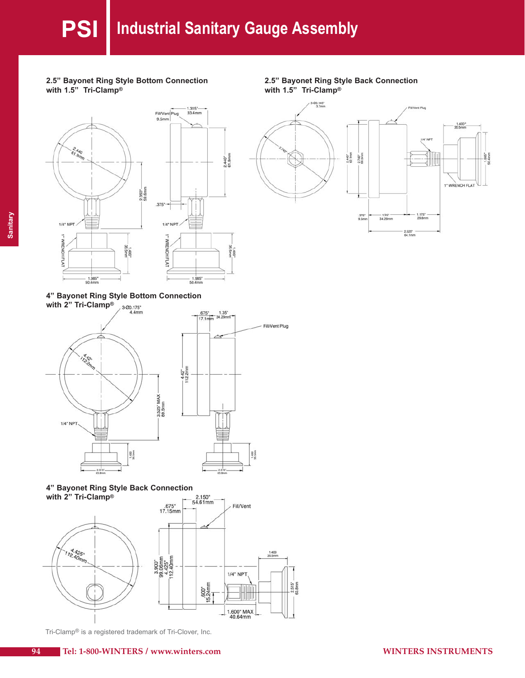$2.440 -$ <br>61.9mm

1.400"<br>35.5mm









**4" Bayonet Ring Style Bottom Connection**





#### **4" Bayonet Ring Style Back Connection with 2" Tri-Clamp®**



Tri-Clamp® is a registered trademark of Tri-Clover, Inc.